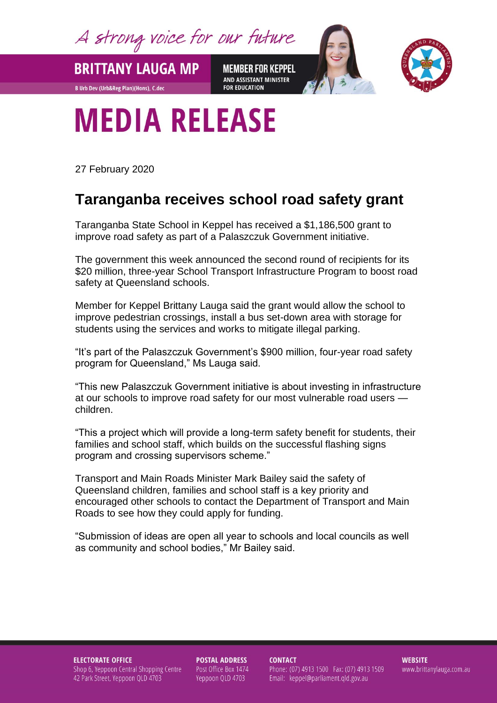A strong voice for our future

**BRITTANY LAUGA MP** 

**B Urb Dev (Urb&Reg Plan)(Hons), C.dec** 

**MEMBER FOR KEPPEL** AND ASSISTANT MINISTER **FOR EDUCATION** 



## **MEDIA RELEASE**

27 February 2020

## **Taranganba receives school road safety grant**

Taranganba State School in Keppel has received a \$1,186,500 grant to improve road safety as part of a Palaszczuk Government initiative.

The government this week announced the second round of recipients for its \$20 million, three-year School Transport Infrastructure Program to boost road safety at Queensland schools.

Member for Keppel Brittany Lauga said the grant would allow the school to improve pedestrian crossings, install a bus set-down area with storage for students using the services and works to mitigate illegal parking.

"It's part of the Palaszczuk Government's \$900 million, four-year road safety program for Queensland," Ms Lauga said.

"This new Palaszczuk Government initiative is about investing in infrastructure at our schools to improve road safety for our most vulnerable road users children.

"This a project which will provide a long-term safety benefit for students, their families and school staff, which builds on the successful flashing signs program and crossing supervisors scheme."

Transport and Main Roads Minister Mark Bailey said the safety of Queensland children, families and school staff is a key priority and encouraged other schools to contact the Department of Transport and Main Roads to see how they could apply for funding.

"Submission of ideas are open all year to schools and local councils as well as community and school bodies," Mr Bailey said.

**ELECTORATE OFFICE** Shop 6, Yeppoon Central Shopping Centre 42 Park Street, Yeppoon QLD 4703

**POSTAL ADDRESS** Post Office Box 1474 Yeppoon QLD 4703

**CONTACT** Phone: (07) 4913 1500 Fax: (07) 4913 1509 Email: keppel@parliament.qld.gov.au

**WEBSITE** www.brittanylauga.com.au